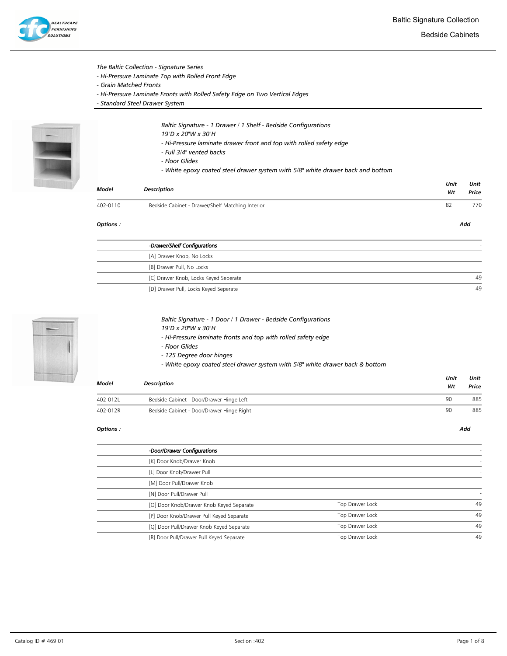

## The Baltic Collection - Signature Series

- Hi-Pressure Laminate Top with Rolled Front Edge
- Grain Matched Fronts
- Hi-Pressure Laminate Fronts with Rolled Safety Edge on Two Vertical Edges
- Standard Steel Drawer System



- Baltic Signature 1 Drawer / 1 Shelf Bedside Configurations
- 19"D x 20"W x 30"H
- Hi-Pressure laminate drawer front and top with rolled safety edge
- Full 3/4" vented backs
- Floor Glides
- White epoxy coated steel drawer system with 5/8" white drawer back and bottom

| Model    | <b>Description</b>                               | Unit<br>Wt | Unit<br>Price |
|----------|--------------------------------------------------|------------|---------------|
| 402-0110 | Bedside Cabinet - Drawer/Shelf Matching Interior | 82         | 770           |
| Options: |                                                  |            | Add           |

| -Drawer/Shelf Configurations          |    |
|---------------------------------------|----|
| [A] Drawer Knob, No Locks             |    |
| [B] Drawer Pull, No Locks             |    |
| [C] Drawer Knob, Locks Keyed Seperate | 49 |
| [D] Drawer Pull, Locks Keyed Seperate | 49 |



|                      |  |  | Baltic Signature - 1 Door / 1 Drawer - Bedside Configurations |  |
|----------------------|--|--|---------------------------------------------------------------|--|
| $\sim$ $\sim$ $\sim$ |  |  |                                                               |  |

- 19"D x 20"W x 30"H
- Hi-Pressure laminate fronts and top with rolled safety edge
- Floor Glides
- 125 Degree door hinges
- White epoxy coated steel drawer system with 5/8" white drawer back & bottom

| Model    | Description                               | Unit<br>Wt | Unit<br>Price |
|----------|-------------------------------------------|------------|---------------|
| 402-012L | Bedside Cabinet - Door/Drawer Hinge Left  | 90         | 885           |
| 402-012R | Bedside Cabinet - Door/Drawer Hinge Right | 90         | 885           |

| -Door/Drawer Configurations              |                 |    |
|------------------------------------------|-----------------|----|
| [K] Door Knob/Drawer Knob                |                 |    |
| [L] Door Knob/Drawer Pull                |                 |    |
| [M] Door Pull/Drawer Knob                |                 |    |
| [N] Door Pull/Drawer Pull                |                 |    |
| [O] Door Knob/Drawer Knob Keyed Separate | Top Drawer Lock | 49 |
| [P] Door Knob/Drawer Pull Keyed Separate | Top Drawer Lock | 49 |
| [Q] Door Pull/Drawer Knob Keyed Separate | Top Drawer Lock | 49 |
| [R] Door Pull/Drawer Pull Keyed Separate | Top Drawer Lock | 49 |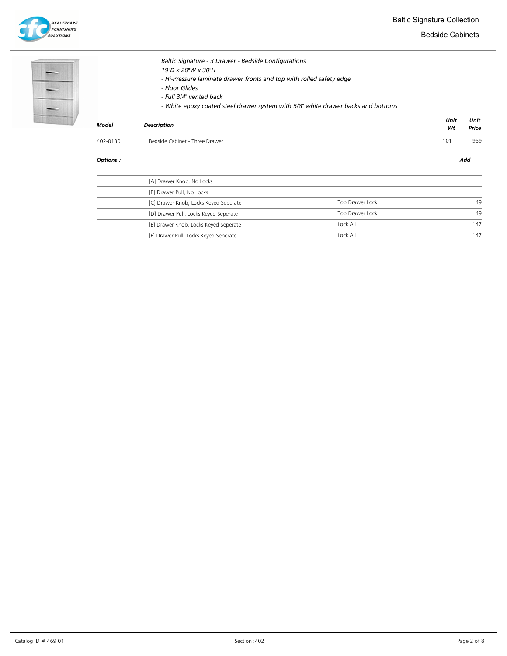



Bedside Cabinets

|          | Baltic Signature - 3 Drawer - Bedside Configurations<br>19"D x 20"W x 30"H<br>- Hi-Pressure laminate drawer fronts and top with rolled safety edge<br>- Floor Glides<br>- Full 3/4" vented back<br>- White epoxy coated steel drawer system with 5/8" white drawer backs and bottoms |            |               |
|----------|--------------------------------------------------------------------------------------------------------------------------------------------------------------------------------------------------------------------------------------------------------------------------------------|------------|---------------|
| Model    | <b>Description</b>                                                                                                                                                                                                                                                                   | Unit<br>Wt | Unit<br>Price |
| 402-0130 | Bedside Cabinet - Three Drawer                                                                                                                                                                                                                                                       | 101        | 959           |

## Options : Add

j ł,

| [A] Drawer Knob, No Locks             |                 |     |
|---------------------------------------|-----------------|-----|
| [B] Drawer Pull, No Locks             |                 |     |
| [C] Drawer Knob, Locks Keyed Seperate | Top Drawer Lock | 49  |
| [D] Drawer Pull, Locks Keyed Seperate | Top Drawer Lock | 49  |
| [E] Drawer Knob, Locks Keyed Seperate | Lock All        | 147 |
| [F] Drawer Pull, Locks Keyed Seperate | Lock All        | 147 |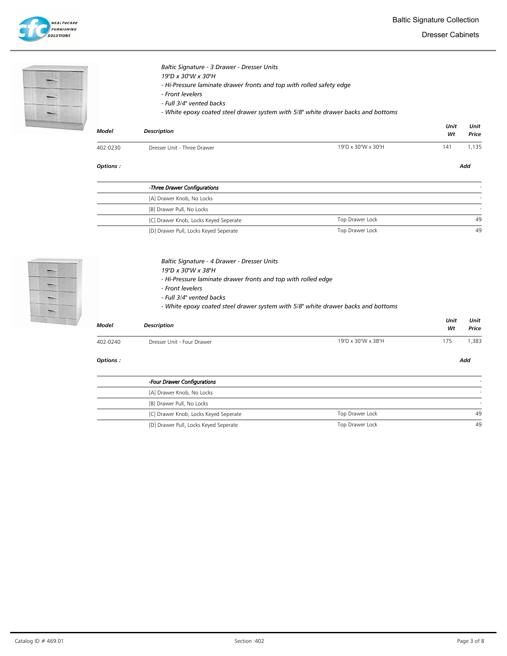Dresser Cabinets

| Baltic Signature - 3 Drawer - Dresser Units<br>19"D x 30"W x 30"H<br>- Hi-Pressure laminate drawer fronts and top with rolled safety edge<br>- Front levelers<br>- Full 3/4" vented backs<br>- White epoxy coated steel drawer system with 5/8" white drawer backs and bottoms |                             |                    |            |               |  |
|--------------------------------------------------------------------------------------------------------------------------------------------------------------------------------------------------------------------------------------------------------------------------------|-----------------------------|--------------------|------------|---------------|--|
| Model                                                                                                                                                                                                                                                                          | <b>Description</b>          |                    | Unit<br>Wt | Unit<br>Price |  |
| 402-0230                                                                                                                                                                                                                                                                       | Dresser Unit - Three Drawer | 19"D x 30"W x 30"H | 141        | 1,135         |  |

| -Three Drawer Configurations          |                 |    |
|---------------------------------------|-----------------|----|
| [A] Drawer Knob, No Locks             |                 |    |
| [B] Drawer Pull, No Locks             |                 |    |
| [C] Drawer Knob, Locks Keyed Seperate | Top Drawer Lock | 49 |
| [D] Drawer Pull, Locks Keyed Seperate | Top Drawer Lock | 49 |

Options : Add



|  | Baltic Signature - 4 Drawer - Dresser Units |  |  |  |
|--|---------------------------------------------|--|--|--|
|  |                                             |  |  |  |

- 19"D x 30"W x 38"H
- Hi-Pressure laminate drawer fronts and top with rolled edge
- Front levelers
- Full 3/4" vented backs
- White epoxy coated steel drawer system with 5/8" white drawer backs and bottoms

| Model     | <b>Description</b>         |                    |     |      |  |
|-----------|----------------------------|--------------------|-----|------|--|
| 402-0240  | Dresser Unit - Four Drawer | 19"D x 30"W x 38"H | 175 | .383 |  |
| Options : |                            |                    |     | Add  |  |

L

| -Four Drawer Configurations           |                 |    |
|---------------------------------------|-----------------|----|
| [A] Drawer Knob, No Locks             |                 |    |
| [B] Drawer Pull, No Locks             |                 |    |
| [C] Drawer Knob, Locks Keyed Seperate | Top Drawer Lock | 49 |
| [D] Drawer Pull, Locks Keyed Seperate | Top Drawer Lock | 49 |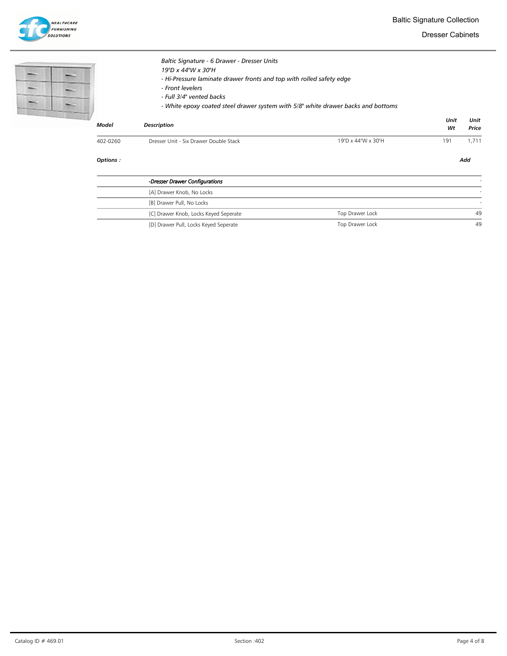

Dresser Cabinets

|              | Baltic Signature - 6 Drawer - Dresser Units<br>19"D x 44"W x 30"H<br>- Hi-Pressure laminate drawer fronts and top with rolled safety edge<br>- Front levelers<br>- Full 3/4" vented backs<br>- White epoxy coated steel drawer system with 5/8" white drawer backs and bottoms |                    |            |               |
|--------------|--------------------------------------------------------------------------------------------------------------------------------------------------------------------------------------------------------------------------------------------------------------------------------|--------------------|------------|---------------|
| <b>Model</b> | <b>Description</b>                                                                                                                                                                                                                                                             |                    | Unit<br>Wt | Unit<br>Price |
| 402-0260     | Dresser Unit - Six Drawer Double Stack                                                                                                                                                                                                                                         | 19"D x 44"W x 30"H | 191        | 1,711         |
| Options:     |                                                                                                                                                                                                                                                                                |                    |            | Add           |

| -Dresser Drawer Configurations        |                 |    |
|---------------------------------------|-----------------|----|
| [A] Drawer Knob, No Locks             |                 |    |
| [B] Drawer Pull, No Locks             |                 |    |
| [C] Drawer Knob, Locks Keyed Seperate | Top Drawer Lock | 49 |
| [D] Drawer Pull, Locks Keyed Seperate | Top Drawer Lock | 49 |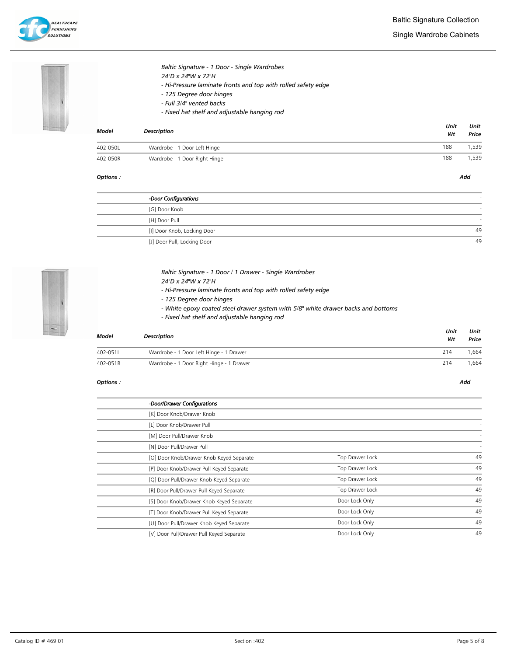



# Baltic Signature - 1 Door - Single Wardrobes 24"D x 24"W x 72"H

- Hi-Pressure laminate fronts and top with rolled safety edge
- 125 Degree door hinges
- Full 3/4" vented backs
- Fixed hat shelf and adjustable hanging rod

| <b>Model</b> | <b>Description</b>            | Unit<br>Wt | Unit<br>Price |
|--------------|-------------------------------|------------|---------------|
| 402-050L     | Wardrobe - 1 Door Left Hinge  | 188        | .539          |
| 402-050R     | Wardrobe - 1 Door Right Hinge | 188        | ,539          |

## Options : Add

| -Door Configurations        |    |
|-----------------------------|----|
| [G] Door Knob               |    |
| [H] Door Pull               |    |
| [I] Door Knob, Locking Door | 49 |
| [J] Door Pull, Locking Door | 49 |



# Baltic Signature - 1 Door / 1 Drawer - Single Wardrobes

- 24"D x 24"W x 72"H
- Hi-Pressure laminate fronts and top with rolled safety edge
- 125 Degree door hinges
- White epoxy coated steel drawer system with 5/8" white drawer backs and bottoms
- Fixed hat shelf and adjustable hanging rod

| Model    | <b>Description</b>                       | Unit<br>Wt | Unit<br>Price |
|----------|------------------------------------------|------------|---------------|
| 402-051L | Wardrobe - 1 Door Left Hinge - 1 Drawer  | 214        | .664          |
| 402-051R | Wardrobe - 1 Door Right Hinge - 1 Drawer | 214        | .664          |

| -Door/Drawer Configurations              |                 |    |
|------------------------------------------|-----------------|----|
| [K] Door Knob/Drawer Knob                |                 |    |
| [L] Door Knob/Drawer Pull                |                 |    |
| [M] Door Pull/Drawer Knob                |                 |    |
| [N] Door Pull/Drawer Pull                |                 |    |
| [O] Door Knob/Drawer Knob Keyed Separate | Top Drawer Lock | 49 |
| [P] Door Knob/Drawer Pull Keyed Separate | Top Drawer Lock | 49 |
| [Q] Door Pull/Drawer Knob Keyed Separate | Top Drawer Lock | 49 |
| [R] Door Pull/Drawer Pull Keyed Separate | Top Drawer Lock | 49 |
| [S] Door Knob/Drawer Knob Keyed Separate | Door Lock Only  | 49 |
| [T] Door Knob/Drawer Pull Keyed Separate | Door Lock Only  | 49 |
| [U] Door Pull/Drawer Knob Keyed Separate | Door Lock Only  | 49 |
| [V] Door Pull/Drawer Pull Keyed Separate | Door Lock Only  | 49 |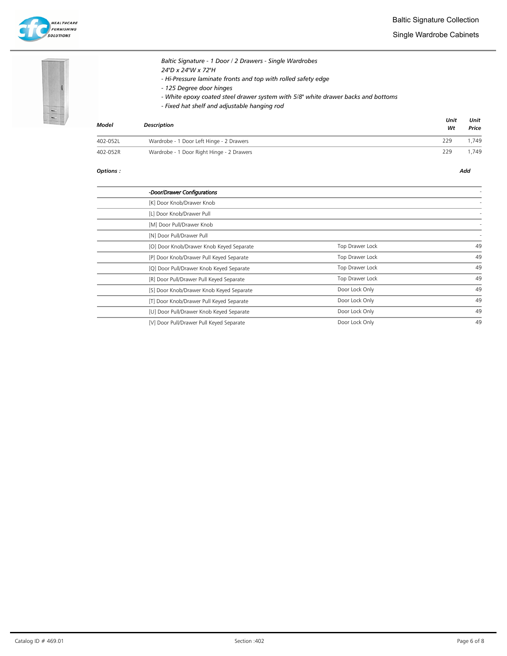

Single Wardrobe Cabinets



# Baltic Signature - 1 Door / 2 Drawers - Single Wardrobes 24"D x 24"W x 72"H - Hi-Pressure laminate fronts and top with rolled safety edge - 125 Degree door hinges

- White epoxy coated steel drawer system with 5/8" white drawer backs and bottoms
- Fixed hat shelf and adjustable hanging rod

| Model    | Description                               | Unit<br>Wt | Unit<br>Price |
|----------|-------------------------------------------|------------|---------------|
| 402-052L | Wardrobe - 1 Door Left Hinge - 2 Drawers  | 229        | 1.749         |
| 402-052R | Wardrobe - 1 Door Right Hinge - 2 Drawers | 229        | 1.749         |

| -Door/Drawer Configurations              |                 |    |
|------------------------------------------|-----------------|----|
| [K] Door Knob/Drawer Knob                |                 |    |
| [L] Door Knob/Drawer Pull                |                 |    |
| [M] Door Pull/Drawer Knob                |                 |    |
| [N] Door Pull/Drawer Pull                |                 |    |
| [O] Door Knob/Drawer Knob Keyed Separate | Top Drawer Lock | 49 |
| [P] Door Knob/Drawer Pull Keyed Separate | Top Drawer Lock | 49 |
| [Q] Door Pull/Drawer Knob Keyed Separate | Top Drawer Lock | 49 |
| [R] Door Pull/Drawer Pull Keyed Separate | Top Drawer Lock | 49 |
| [S] Door Knob/Drawer Knob Keyed Separate | Door Lock Only  | 49 |
| [T] Door Knob/Drawer Pull Keyed Separate | Door Lock Only  | 49 |
| [U] Door Pull/Drawer Knob Keyed Separate | Door Lock Only  | 49 |
| [V] Door Pull/Drawer Pull Keyed Separate | Door Lock Only  | 49 |
|                                          |                 |    |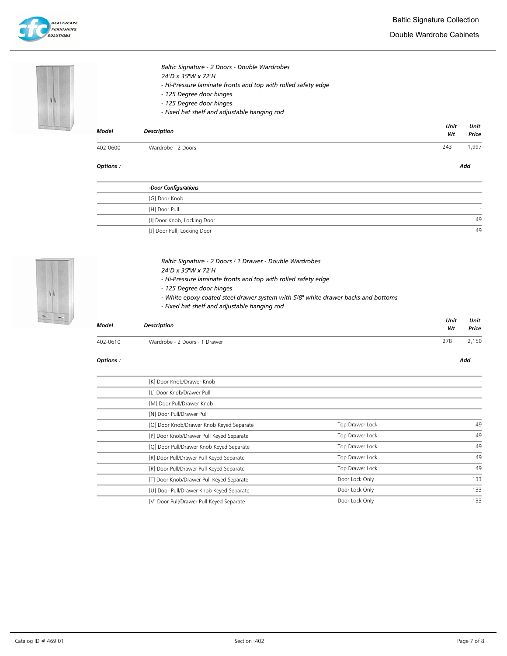Double Wardrobe Cabinets



| Options:     |                                                                                                                                                                                             |            | Add           |
|--------------|---------------------------------------------------------------------------------------------------------------------------------------------------------------------------------------------|------------|---------------|
| 402-0600     | Wardrobe - 2 Doors                                                                                                                                                                          | 243        | 1,997         |
| <b>Model</b> | <b>Description</b>                                                                                                                                                                          | Unit<br>Wt | Unit<br>Price |
|              | 24"D x 35"W x 72"H<br>- Hi-Pressure laminate fronts and top with rolled safety edge<br>- 125 Degree door hinges<br>- 125 Degree door hinges<br>- Fixed hat shelf and adjustable hanging rod |            |               |

| -Door Configurations        |    |
|-----------------------------|----|
| [G] Door Knob               |    |
| [H] Door Pull               |    |
| [I] Door Knob, Locking Door | 49 |
| [J] Door Pull, Locking Door | 49 |



| Baltic Signature - 2 Doors / 1 Drawer - Double Wardrobes |  |
|----------------------------------------------------------|--|
|----------------------------------------------------------|--|

- 24"D x 35"W x 72"H
	- Hi-Pressure laminate fronts and top with rolled safety edge
	- 125 Degree door hinges
	- White epoxy coated steel drawer system with 5/8" white drawer backs and bottoms
	- Fixed hat shelf and adjustable hanging rod

Baltic Signature - 2 Doors - Double Wardrobes

| Model    | <b>Description</b>            | Unit<br>Wt | Unit<br>Price |
|----------|-------------------------------|------------|---------------|
| 402-0610 | Wardrobe - 2 Doors - 1 Drawer | 278        | 2,150         |

### Options : Add

L.

| [K] Door Knob/Drawer Knob                |                 |     |
|------------------------------------------|-----------------|-----|
| [L] Door Knob/Drawer Pull                |                 |     |
| [M] Door Pull/Drawer Knob                |                 |     |
| [N] Door Pull/Drawer Pull                |                 |     |
| [O] Door Knob/Drawer Knob Keyed Separate | Top Drawer Lock | 49  |
| [P] Door Knob/Drawer Pull Keyed Separate | Top Drawer Lock | 49  |
| [Q] Door Pull/Drawer Knob Keyed Separate | Top Drawer Lock | 49  |
| [R] Door Pull/Drawer Pull Keyed Separate | Top Drawer Lock | 49  |
| [R] Door Pull/Drawer Pull Keyed Separate | Top Drawer Lock | 49  |
| [T] Door Knob/Drawer Pull Keyed Separate | Door Lock Only  | 133 |
| [U] Door Pull/Drawer Knob Keyed Separate | Door Lock Only  | 133 |
| [V] Door Pull/Drawer Pull Keyed Separate | Door Lock Only  | 133 |